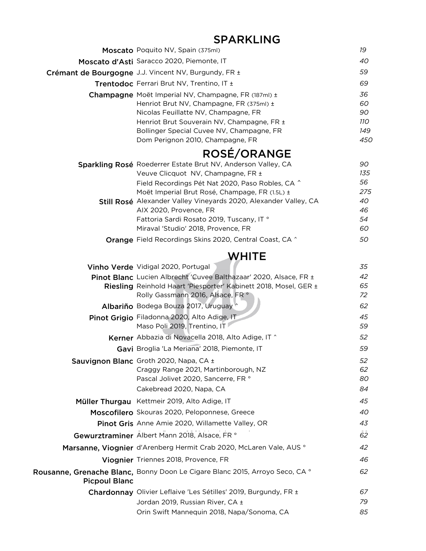|                      | Moscato Poquito NV, Spain (375ml)                                                                                                                                                                                                                                                                                                                                                          | 19                                             |
|----------------------|--------------------------------------------------------------------------------------------------------------------------------------------------------------------------------------------------------------------------------------------------------------------------------------------------------------------------------------------------------------------------------------------|------------------------------------------------|
|                      | Moscato d'Asti Saracco 2020, Piemonte, IT                                                                                                                                                                                                                                                                                                                                                  | 40                                             |
|                      | Crémant de Bourgogne J.J. Vincent NV, Burgundy, FR ±                                                                                                                                                                                                                                                                                                                                       | 59                                             |
|                      | Trentodoc Ferrari Brut NV, Trentino, IT ±                                                                                                                                                                                                                                                                                                                                                  | 69                                             |
|                      | Champagne Moët Imperial NV, Champagne, FR (187ml) ±<br>Henriot Brut NV, Champagne, FR (375ml) ±<br>Nicolas Feuillatte NV, Champagne, FR<br>Henriot Brut Souverain NV, Champagne, FR ±<br>Bollinger Special Cuvee NV, Champagne, FR<br>Dom Perignon 2010, Champagne, FR                                                                                                                     | 36<br>60<br>90<br>11O<br>149<br>450            |
|                      | <b>ROSÉ/ORANGE</b>                                                                                                                                                                                                                                                                                                                                                                         |                                                |
|                      | Sparkling Rosé Roederrer Estate Brut NV, Anderson Valley, CA<br>Veuve Clicquot NV, Champagne, FR ±<br>Field Recordings Pét Nat 2020, Paso Robles, CA ^<br>Moët Imperial Brut Rosé, Champage, FR (1.5L) ±<br>Still Rosé Alexander Valley Vineyards 2020, Alexander Valley, CA<br>AIX 2020, Provence, FR<br>Fattoria Sardi Rosato 2019, Tuscany, IT °<br>Miraval 'Studio' 2018, Provence, FR | 90<br>135<br>56<br>275<br>40<br>46<br>54<br>60 |
|                      | <b>Orange</b> Field Recordings Skins 2020, Central Coast, CA ^                                                                                                                                                                                                                                                                                                                             | 50                                             |
|                      |                                                                                                                                                                                                                                                                                                                                                                                            |                                                |
|                      | WHITE<br>Vinho Verde Vidigal 2020, Portugal                                                                                                                                                                                                                                                                                                                                                | 35                                             |
|                      | Pinot Blanc Lucien Albrecht 'Cuvee Balthazaar' 2020, Alsace, FR ±<br>Riesling Reinhold Haart 'Piesporter' Kabinett 2018, Mosel, GER ±<br>Rolly Gassmann 2016, Alsace, FR °                                                                                                                                                                                                                 | 42<br>65<br>72                                 |
|                      | Albariño Bodega Bouza 2017, Uruguay                                                                                                                                                                                                                                                                                                                                                        | 62                                             |
|                      | Pinot Grigio Filadonna 2020, Alto Adige, IT<br>Maso Poli 2019, Trentino, IT                                                                                                                                                                                                                                                                                                                | 45<br>59                                       |
|                      | Kerner Abbazia di Novacella 2018, Alto Adige, IT ^                                                                                                                                                                                                                                                                                                                                         | 52                                             |
|                      | Gavi Broglia 'La Meriana' 2018, Piemonte, IT                                                                                                                                                                                                                                                                                                                                               | 59                                             |
|                      | Sauvignon Blanc Groth 2020, Napa, CA ±<br>Craggy Range 2021, Martinborough, NZ<br>Pascal Jolivet 2020, Sancerre, FR °<br>Cakebread 2020, Napa, CA                                                                                                                                                                                                                                          | 52<br>62<br>80<br>84                           |
|                      | Müller Thurgau Kettmeir 2019, Alto Adige, IT                                                                                                                                                                                                                                                                                                                                               | 45                                             |
|                      | Moscofilero Skouras 2020, Peloponnese, Greece                                                                                                                                                                                                                                                                                                                                              | 40                                             |
|                      | Pinot Gris Anne Amie 2020, Willamette Valley, OR                                                                                                                                                                                                                                                                                                                                           | 43                                             |
|                      | Gewurztraminer Albert Mann 2018, Alsace, FR °                                                                                                                                                                                                                                                                                                                                              | 62                                             |
|                      | Marsanne, Viognier d'Arenberg Hermit Crab 2020, McLaren Vale, AUS °                                                                                                                                                                                                                                                                                                                        | 42                                             |
|                      | Viognier Triennes 2018, Provence, FR                                                                                                                                                                                                                                                                                                                                                       | 46                                             |
| <b>Picpoul Blanc</b> | Rousanne, Grenache Blanc, Bonny Doon Le Cigare Blanc 2015, Arroyo Seco, CA °                                                                                                                                                                                                                                                                                                               | 62                                             |
|                      | Chardonnay Olivier Leflaive 'Les Sétilles' 2019, Burgundy, FR ±                                                                                                                                                                                                                                                                                                                            | 67                                             |
|                      | Jordan 2019, Russian River, CA ±<br>Orin Swift Mannequin 2018, Napa/Sonoma, CA                                                                                                                                                                                                                                                                                                             | 79<br>85                                       |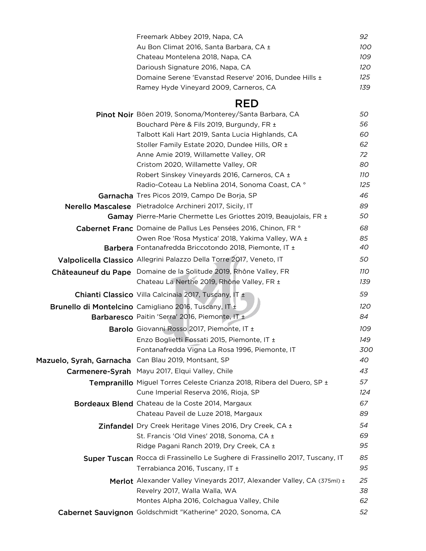|                                                      | Freemark Abbey 2019, Napa, CA                                                 | 92  |
|------------------------------------------------------|-------------------------------------------------------------------------------|-----|
|                                                      | Au Bon Climat 2016, Santa Barbara, CA ±                                       | 100 |
|                                                      | Chateau Montelena 2018, Napa, CA                                              | 109 |
|                                                      | Darioush Signature 2016, Napa, CA                                             | 120 |
|                                                      | Domaine Serene 'Evanstad Reserve' 2016, Dundee Hills ±                        | 125 |
|                                                      | Ramey Hyde Vineyard 2009, Carneros, CA                                        | 139 |
|                                                      | <b>RED</b>                                                                    |     |
|                                                      | Pinot Noir Böen 2019, Sonoma/Monterey/Santa Barbara, CA                       | 50  |
|                                                      | Bouchard Père & Fils 2019, Burgundy, FR ±                                     | 56  |
|                                                      | Talbott Kali Hart 2019, Santa Lucia Highlands, CA                             | 60  |
|                                                      | Stoller Family Estate 2020, Dundee Hills, OR ±                                | 62  |
|                                                      | Anne Amie 2019, Willamette Valley, OR                                         | 72  |
|                                                      | Cristom 2020, Willamette Valley, OR                                           | 80  |
|                                                      | Robert Sinskey Vineyards 2016, Carneros, CA ±                                 | 11O |
|                                                      | Radio-Coteau La Neblina 2014, Sonoma Coast, CA °                              | 125 |
|                                                      | Garnacha Tres Picos 2019, Campo De Borja, SP                                  | 46  |
|                                                      | Nerello Mascalese Pietradolce Archineri 2017, Sicily, IT                      | 89  |
|                                                      | Gamay Pierre-Marie Chermette Les Griottes 2019, Beaujolais, FR ±              | 50  |
|                                                      | Cabernet Franc Domaine de Pallus Les Pensées 2016, Chinon, FR °               | 68  |
|                                                      | Owen Roe 'Rosa Mystica' 2018, Yakima Valley, WA ±                             | 85  |
|                                                      | Barbera Fontanafredda Briccotondo 2018, Piemonte, IT ±                        | 40  |
|                                                      | Valpolicella Classico Allegrini Palazzo Della Torre 2017, Veneto, IT          | 50  |
|                                                      | Châteauneuf du Pape Domaine de la Solitude 2019, Rhône Valley, FR             | 110 |
|                                                      | Chateau La Nerthe 2019, Rhône Valley, FR ±                                    | 139 |
|                                                      | Chianti Classico Villa Calcinaia 2017, Tuscany, IT ±                          | 59  |
|                                                      | Brunello di Montelcino Camigliano 2016, Tuscany, IT ±                         | 120 |
|                                                      | Barbaresco Paitin 'Serra' 2016, Piemonte, IT ±                                | 84  |
|                                                      | Barolo Giovanni Rosso 2017, Piemonte, IT ±                                    | 109 |
|                                                      | Enzo Boglietti Fossati 2015, Piemonte, IT ±                                   | 149 |
|                                                      | Fontanafredda Vigna La Rosa 1996, Piemonte, IT                                | 300 |
| Mazuelo, Syrah, Garnacha Can Blau 2019, Montsant, SP |                                                                               | 40  |
|                                                      | Carmenere-Syrah Mayu 2017, Elqui Valley, Chile                                | 43  |
|                                                      | Tempranillo Miguel Torres Celeste Crianza 2018, Ribera del Duero, SP ±        | 57  |
|                                                      | Cune Imperial Reserva 2016, Rioja, SP                                         | 124 |
|                                                      | Bordeaux Blend Chateau de la Coste 2014, Margaux                              | 67  |
|                                                      | Chateau Paveil de Luze 2018, Margaux                                          | 89  |
|                                                      | Zinfandel Dry Creek Heritage Vines 2016, Dry Creek, CA ±                      | 54  |
|                                                      | St. Francis 'Old Vines' 2018, Sonoma, CA ±                                    | 69  |
|                                                      | Ridge Pagani Ranch 2019, Dry Creek, CA ±                                      | 95  |
|                                                      | Super Tuscan Rocca di Frassinello Le Sughere di Frassinello 2017, Tuscany, IT | 85  |
|                                                      | Terrabianca 2016, Tuscany, IT ±                                               | 95  |
|                                                      | Merlot Alexander Valley Vineyards 2017, Alexander Valley, CA (375ml) ±        | 25  |
|                                                      | Revelry 2017, Walla Walla, WA                                                 | 38  |
|                                                      | Montes Alpha 2016, Colchagua Valley, Chile                                    | 62  |
|                                                      | Cabernet Sauvignon Goldschmidt "Katherine" 2020, Sonoma, CA                   | 52  |
|                                                      |                                                                               |     |